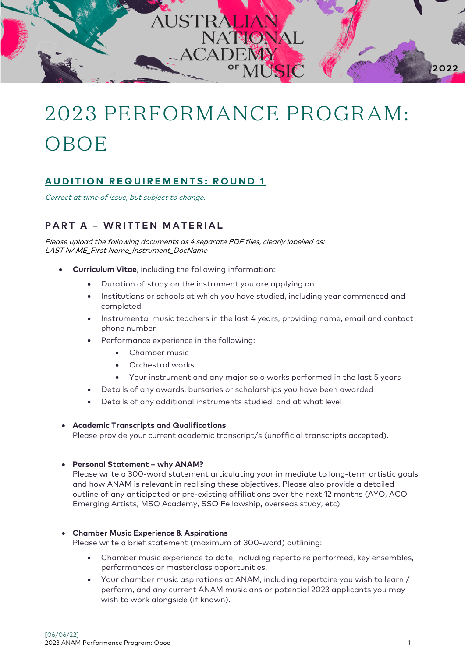

# 2023 PERFORMANCE PROGRAM: OBOE

# **AUDITION REQUIREMENTS: ROUND 1**

Correct at time of issue, but subject to change.

## **PART A – WRITTEN MATERIAL**

Please upload the following documents as 4 separate PDF files, clearly labelled as: LAST NAME\_First Name\_Instrument\_DocName

- **Curriculum Vitae**, including the following information:
	- Duration of study on the instrument you are applying on
	- Institutions or schools at which you have studied, including year commenced and completed
	- Instrumental music teachers in the last 4 years, providing name, email and contact phone number
	- Performance experience in the following:
		- Chamber music
		- Orchestral works
		- Your instrument and any major solo works performed in the last 5 years
	- Details of any awards, bursaries or scholarships you have been awarded
	- Details of any additional instruments studied, and at what level

#### • **Academic Transcripts and Qualifications**

Please provide your current academic transcript/s (unofficial transcripts accepted).

#### • **Personal Statement – why ANAM?**

Please write a 300-word statement articulating your immediate to long-term artistic goals, and how ANAM is relevant in realising these objectives. Please also provide a detailed outline of any anticipated or pre-existing affiliations over the next 12 months (AYO, ACO Emerging Artists, MSO Academy, SSO Fellowship, overseas study, etc).

#### • **Chamber Music Experience & Aspirations**

Please write a brief statement (maximum of 300-word) outlining:

- Chamber music experience to date, including repertoire performed, key ensembles, performances or masterclass opportunities.
- Your chamber music aspirations at ANAM, including repertoire you wish to learn / perform, and any current ANAM musicians or potential 2023 applicants you may wish to work alongside (if known).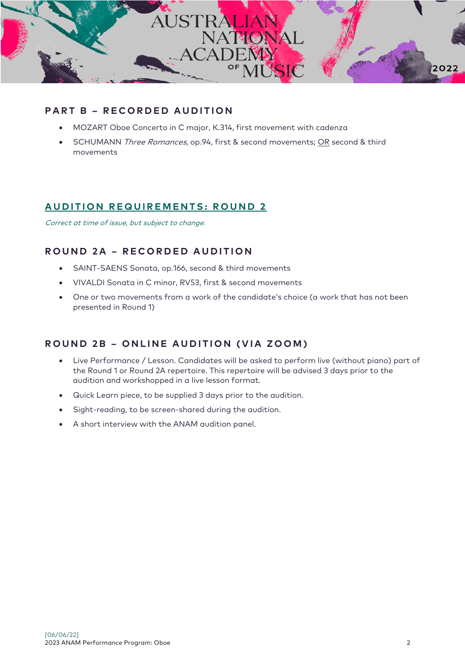

#### **PART B – RECORDED AUDITION**

- MOZART Oboe Concerto in C major, K.314, first movement with cadenza
- SCHUMANN Three Romances, op.94, first & second movements; OR second & third movements

#### **A UDITION REQUIREMENTS: ROUND 2**

Correct at time of issue, but subject to change.

# **ROUND 2A – RECORDED AUDITION**

- SAINT-SAENS Sonata, op.166, second & third movements
- VIVALDI Sonata in C minor, RV53, first & second movements
- One or two movements from a work of the candidate's choice (a work that has not been presented in Round 1)

#### **ROUND 2B – ONLINE AUDITION (VIA ZOOM)**

- Live Performance / Lesson. Candidates will be asked to perform live (without piano) part of the Round 1 or Round 2A repertoire. This repertoire will be advised 3 days prior to the audition and workshopped in a live lesson format.
- Quick Learn piece, to be supplied 3 days prior to the audition.
- Sight-reading, to be screen-shared during the audition.
- A short interview with the ANAM audition panel.